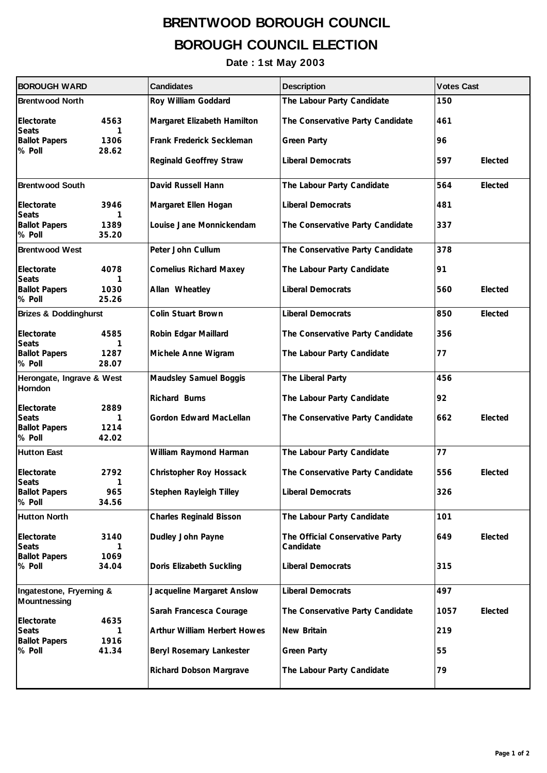## **BRENTWOOD BOROUGH COUNCIL BOROUGH COUNCIL ELECTION**

**Date : 1st May 2003**

| <b>BOROUGH WARD</b>                             |                    | <b>Candidates</b>              | <b>Description</b>                           | <b>Votes Cast</b> |         |  |
|-------------------------------------------------|--------------------|--------------------------------|----------------------------------------------|-------------------|---------|--|
| <b>Brentwood North</b>                          |                    | Roy William Goddard            | The Labour Party Candidate                   | 150               |         |  |
| Electorate<br><b>Seats</b>                      | 4563<br>1          | Margaret Elizabeth Hamilton    | The Conservative Party Candidate             | 461               |         |  |
| <b>Ballot Papers</b><br>% Poll                  | 1306<br>28.62      | Frank Frederick Seckleman      | <b>Green Party</b>                           | 96                |         |  |
|                                                 |                    | Reginald Geoffrey Straw        | <b>Liberal Democrats</b>                     | 597               | Elected |  |
| <b>Brentwood South</b>                          |                    | David Russell Hann             | The Labour Party Candidate                   | 564               | Elected |  |
| Electorate<br><b>Seats</b>                      | 3946<br>1          | Margaret Ellen Hogan           | <b>Liberal Democrats</b>                     | 481               |         |  |
| <b>Ballot Papers</b><br>% Poll                  | 1389<br>35.20      | Louise Jane Monnickendam       | The Conservative Party Candidate             | 337               |         |  |
| <b>Brentwood West</b>                           |                    | Peter John Cullum              | The Conservative Party Candidate             | 378               |         |  |
| Electorate<br><b>Seats</b>                      | 4078<br>1          | <b>Cornelius Richard Maxey</b> | The Labour Party Candidate                   | 91                |         |  |
| <b>Ballot Papers</b><br>% Poll                  | 1030<br>25.26      | Allan Wheatley                 | <b>Liberal Democrats</b>                     | 560               | Elected |  |
| <b>Brizes &amp; Doddinghurst</b>                |                    | Colin Stuart Brown             | <b>Liberal Democrats</b>                     | 850               | Elected |  |
| Electorate<br><b>Seats</b>                      | 4585<br>1          | Robin Edgar Maillard           | The Conservative Party Candidate             | 356               |         |  |
| <b>Ballot Papers</b><br>% Poll                  | 1287<br>28.07      | Michele Anne Wigram            | The Labour Party Candidate                   | 77                |         |  |
| Herongate, Ingrave & West<br><b>Horndon</b>     |                    | Maudsley Samuel Boggis         | The Liberal Party                            | 456               |         |  |
| Electorate                                      | 2889               | Richard Burns                  | The Labour Party Candidate                   | 92                |         |  |
| <b>Seats</b><br><b>Ballot Papers</b><br>% Poll  | 1<br>1214<br>42.02 | Gordon Edward MacLellan        | The Conservative Party Candidate             | 662               | Elected |  |
| <b>Hutton East</b>                              |                    | William Raymond Harman         | The Labour Party Candidate                   | 77                |         |  |
| Electorate                                      | 2792               | Christopher Roy Hossack        | The Conservative Party Candidate             | 556               | Elected |  |
| <b>Seats</b><br><b>Ballot Papers</b><br>% Poll  | 1<br>965<br>34.56  | Stephen Rayleigh Tilley        | <b>Liberal Democrats</b>                     | 326               |         |  |
| <b>Hutton North</b>                             |                    | <b>Charles Reginald Bisson</b> | The Labour Party Candidate                   | 101               |         |  |
| Electorate<br><b>Seats</b>                      | 3140<br>1          | Dudley John Payne              | The Official Conservative Party<br>Candidate | 649               | Elected |  |
| <b>Ballot Papers</b><br>% Poll                  | 1069<br>34.04      | Doris Elizabeth Suckling       | <b>Liberal Democrats</b>                     | 315               |         |  |
| Ingatestone, Fryerning &<br><b>Mountnessing</b> |                    | Jacqueline Margaret Anslow     | <b>Liberal Democrats</b>                     | 497               |         |  |
| Electorate                                      | 4635               | Sarah Francesca Courage        | The Conservative Party Candidate             | 1057              | Elected |  |
| <b>Seats</b><br><b>Ballot Papers</b>            | 1<br>1916          | Arthur William Herbert Howes   | New Britain                                  | 219               |         |  |
| % Poll                                          | 41.34              | Beryl Rosemary Lankester       | <b>Green Party</b>                           | 55                |         |  |
|                                                 |                    | Richard Dobson Margrave        | The Labour Party Candidate                   | 79                |         |  |